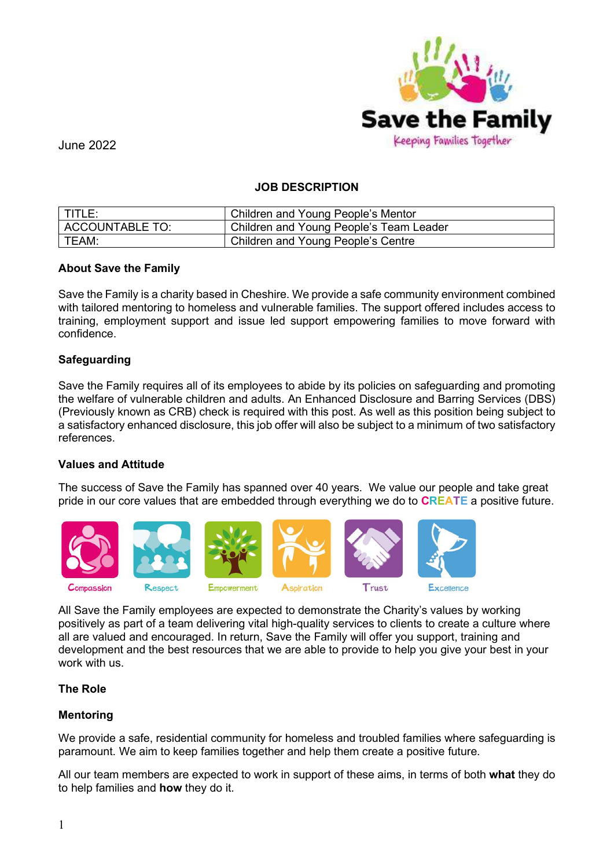

## JOB DESCRIPTION

| $\vert$ TITLE:  | Children and Young People's Mentor      |
|-----------------|-----------------------------------------|
| ACCOUNTABLE TO: | Children and Young People's Team Leader |
| TEAM:           | Children and Young People's Centre      |

#### About Save the Family

Save the Family is a charity based in Cheshire. We provide a safe community environment combined with tailored mentoring to homeless and vulnerable families. The support offered includes access to training, employment support and issue led support empowering families to move forward with confidence.

#### Safeguarding

Save the Family requires all of its employees to abide by its policies on safeguarding and promoting the welfare of vulnerable children and adults. An Enhanced Disclosure and Barring Services (DBS) (Previously known as CRB) check is required with this post. As well as this position being subject to a satisfactory enhanced disclosure, this job offer will also be subject to a minimum of two satisfactory references.

#### Values and Attitude

The success of Save the Family has spanned over 40 years. We value our people and take great pride in our core values that are embedded through everything we do to **CREATE** a positive future.



All Save the Family employees are expected to demonstrate the Charity's values by working positively as part of a team delivering vital high-quality services to clients to create a culture where all are valued and encouraged. In return, Save the Family will offer you support, training and development and the best resources that we are able to provide to help you give your best in your work with us.

#### The Role

## Mentoring

We provide a safe, residential community for homeless and troubled families where safeguarding is paramount. We aim to keep families together and help them create a positive future.

All our team members are expected to work in support of these aims, in terms of both what they do to help families and how they do it.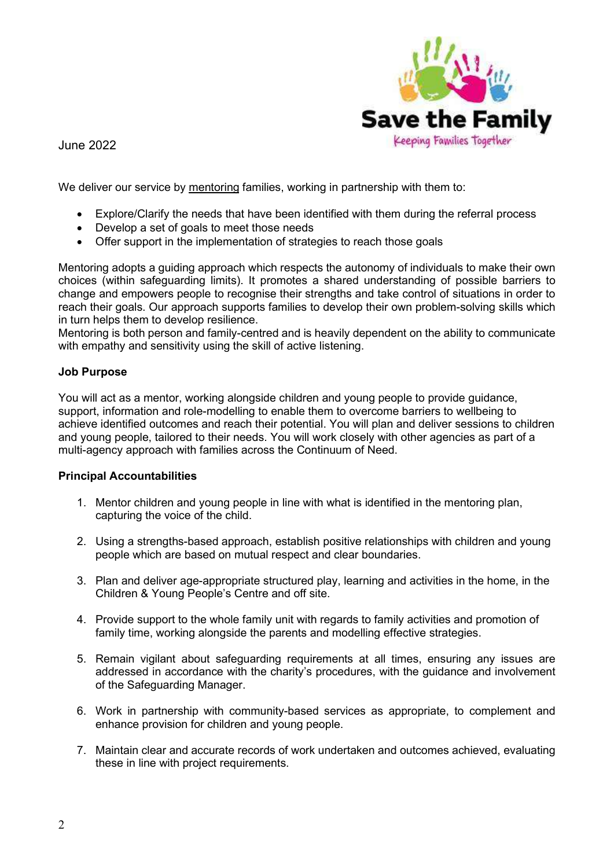

We deliver our service by mentoring families, working in partnership with them to:

- Explore/Clarify the needs that have been identified with them during the referral process
- Develop a set of goals to meet those needs
- Offer support in the implementation of strategies to reach those goals

Mentoring adopts a guiding approach which respects the autonomy of individuals to make their own choices (within safeguarding limits). It promotes a shared understanding of possible barriers to change and empowers people to recognise their strengths and take control of situations in order to reach their goals. Our approach supports families to develop their own problem-solving skills which in turn helps them to develop resilience.

Mentoring is both person and family-centred and is heavily dependent on the ability to communicate with empathy and sensitivity using the skill of active listening.

# Job Purpose

You will act as a mentor, working alongside children and young people to provide guidance, support, information and role-modelling to enable them to overcome barriers to wellbeing to achieve identified outcomes and reach their potential. You will plan and deliver sessions to children and young people, tailored to their needs. You will work closely with other agencies as part of a multi-agency approach with families across the Continuum of Need.

## Principal Accountabilities

- 1. Mentor children and young people in line with what is identified in the mentoring plan, capturing the voice of the child.
- 2. Using a strengths-based approach, establish positive relationships with children and young people which are based on mutual respect and clear boundaries.
- 3. Plan and deliver age-appropriate structured play, learning and activities in the home, in the Children & Young People's Centre and off site.
- 4. Provide support to the whole family unit with regards to family activities and promotion of family time, working alongside the parents and modelling effective strategies.
- 5. Remain vigilant about safeguarding requirements at all times, ensuring any issues are addressed in accordance with the charity's procedures, with the guidance and involvement of the Safeguarding Manager.
- 6. Work in partnership with community-based services as appropriate, to complement and enhance provision for children and young people.
- 7. Maintain clear and accurate records of work undertaken and outcomes achieved, evaluating these in line with project requirements.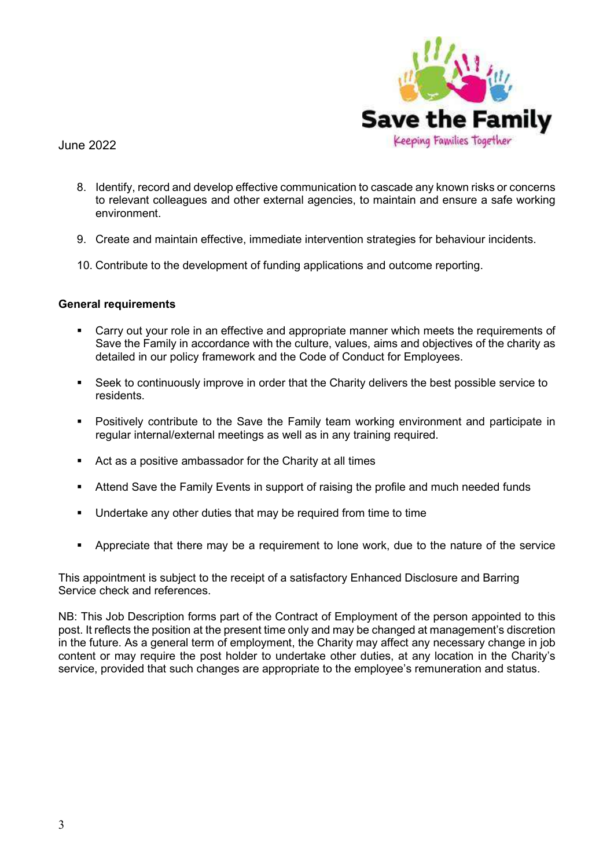

- 8. Identify, record and develop effective communication to cascade any known risks or concerns to relevant colleagues and other external agencies, to maintain and ensure a safe working environment.
- 9. Create and maintain effective, immediate intervention strategies for behaviour incidents.
- 10. Contribute to the development of funding applications and outcome reporting.

## General requirements

- Carry out your role in an effective and appropriate manner which meets the requirements of Save the Family in accordance with the culture, values, aims and objectives of the charity as detailed in our policy framework and the Code of Conduct for Employees.
- Seek to continuously improve in order that the Charity delivers the best possible service to residents.
- Positively contribute to the Save the Family team working environment and participate in regular internal/external meetings as well as in any training required.
- Act as a positive ambassador for the Charity at all times
- **EXECT** Attend Save the Family Events in support of raising the profile and much needed funds
- Undertake any other duties that may be required from time to time
- **•** Appreciate that there may be a requirement to lone work, due to the nature of the service

This appointment is subject to the receipt of a satisfactory Enhanced Disclosure and Barring Service check and references.

NB: This Job Description forms part of the Contract of Employment of the person appointed to this post. It reflects the position at the present time only and may be changed at management's discretion in the future. As a general term of employment, the Charity may affect any necessary change in job content or may require the post holder to undertake other duties, at any location in the Charity's service, provided that such changes are appropriate to the employee's remuneration and status.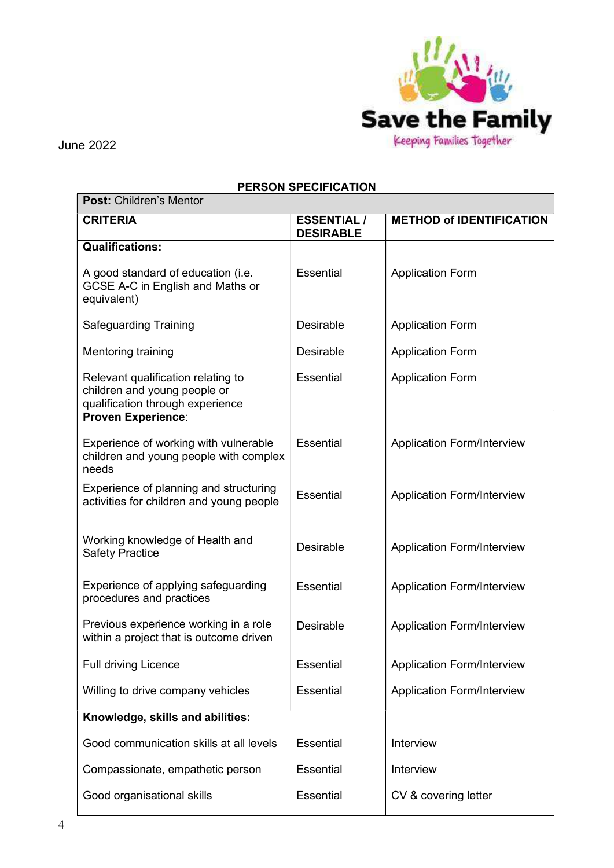

# PERSON SPECIFICATION

| <b>Post: Children's Mentor</b>                                                                         |                                        |                                   |  |  |  |
|--------------------------------------------------------------------------------------------------------|----------------------------------------|-----------------------------------|--|--|--|
| <b>CRITERIA</b>                                                                                        | <b>ESSENTIAL /</b><br><b>DESIRABLE</b> | <b>METHOD of IDENTIFICATION</b>   |  |  |  |
| <b>Qualifications:</b>                                                                                 |                                        |                                   |  |  |  |
| A good standard of education (i.e.<br>GCSE A-C in English and Maths or<br>equivalent)                  | Essential                              | <b>Application Form</b>           |  |  |  |
| <b>Safeguarding Training</b>                                                                           | <b>Desirable</b>                       | <b>Application Form</b>           |  |  |  |
| Mentoring training                                                                                     | Desirable                              | <b>Application Form</b>           |  |  |  |
| Relevant qualification relating to<br>children and young people or<br>qualification through experience | <b>Essential</b>                       | <b>Application Form</b>           |  |  |  |
| <b>Proven Experience:</b>                                                                              |                                        |                                   |  |  |  |
| Experience of working with vulnerable<br>children and young people with complex<br>needs               | <b>Essential</b>                       | <b>Application Form/Interview</b> |  |  |  |
| Experience of planning and structuring<br>activities for children and young people                     | <b>Essential</b>                       | <b>Application Form/Interview</b> |  |  |  |
| Working knowledge of Health and<br><b>Safety Practice</b>                                              | <b>Desirable</b>                       | <b>Application Form/Interview</b> |  |  |  |
| Experience of applying safeguarding<br>procedures and practices                                        | <b>Essential</b>                       | <b>Application Form/Interview</b> |  |  |  |
| Previous experience working in a role<br>within a project that is outcome driven                       | <b>Desirable</b>                       | <b>Application Form/Interview</b> |  |  |  |
| <b>Full driving Licence</b>                                                                            | Essential                              | <b>Application Form/Interview</b> |  |  |  |
| Willing to drive company vehicles                                                                      | Essential                              | <b>Application Form/Interview</b> |  |  |  |
| Knowledge, skills and abilities:                                                                       |                                        |                                   |  |  |  |
| Good communication skills at all levels                                                                | Essential                              | Interview                         |  |  |  |
| Compassionate, empathetic person                                                                       | Essential                              | Interview                         |  |  |  |
| Good organisational skills                                                                             | Essential                              | CV & covering letter              |  |  |  |